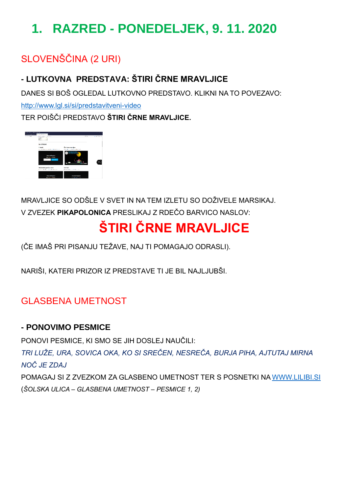# **1. RAZRED - PONEDELJEK, 9. 11. 2020**

## SLOVENŠČINA (2 URI)

### **- LUTKOVNA PREDSTAVA: ŠTIRI ČRNE MRAVLJICE**

DANES SI BOŠ OGLEDAL LUTKOVNO PREDSTAVO. KLIKNI NA TO POVEZAVO:

<http://www.lgl.si/si/predstavitveni-video>

TER POIŠČI PREDSTAVO **ŠTIRI ČRNE MRAVLJICE.**



MRAVLJICE SO ODŠLE V SVET IN NA TEM IZLETU SO DOŽIVELE MARSIKAJ. V ZVEZEK **PIKAPOLONICA** PRESLIKAJ Z RDEČO BARVICO NASLOV:

# **ŠTIRI ČRNE MRAVLJICE**

(ČE IMAŠ PRI PISANJU TEŽAVE, NAJ TI POMAGAJO ODRASLI).

NARIŠI, KATERI PRIZOR IZ PREDSTAVE TI JE BIL NAJLJUBŠI.

### GLASBENA UMETNOST

#### **- PONOVIMO PESMICE**

PONOVI PESMICE, KI SMO SE JIH DOSLEJ NAUČILI:

*TRI LUŽE, URA, SOVICA OKA, KO SI SREČEN, NESREČA, BURJA PIHA, AJTUTAJ MIRNA NOČ JE ZDAJ*

POMAGAJ SI Z ZVEZKOM ZA GLASBENO UMETNOST TER S POSNETKI NA [WWW.LILIBI.SI](http://www.lilibi.si/)  (*ŠOLSKA ULICA – GLASBENA UMETNOST – PESMICE 1, 2)*